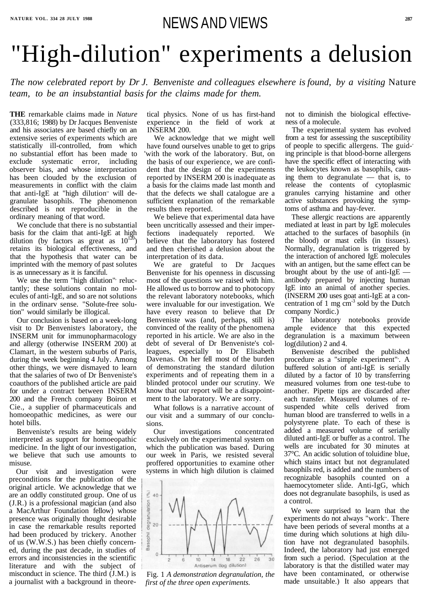# NATURE VOL. 334 28 JULY 1988<br>
NEWS AND VIEWS

# "High-dilution" experiments a delusion

*The now celebrated report by Dr J. Benveniste and colleagues elsewhere is found, by a visiting* Nature *team, to be an insubstantial basis for the claims made for them.*

**THE** remarkable claims made in *Nature* (333,816; 1988) by Dr Jacques Benveniste and his associates are based chiefly on an extensive series of experiments which are statistically ill-controlled, from which no substantial effort has been made to exclude systematic error, including observer bias, and whose interpretation has been clouded by the exclusion of measurements in conflict with the claim that anti-IgE at "high dilution" will degranulate basophils. The phenomenon described is not reproducible in the ordinary meaning of that word.

We use the term "high dilution" reluctantly; these solutions contain no molecules of anti-IgE, and so are not solutions in the ordinarv sense. "Solute-free solution" would similarly be illogical.

We conclude that there is no substantial basis for the claim that anti-IgE at high dilution (by factors as great as  $10^{120}$ ) retains its biological effectiveness, and that the hypothesis that water can be imprinted with the memory of past solutes is as unnecessary as it is fanciful.

Our conclusion is based on a week-long visit to Dr Benveniste's laboratory, the INSERM unit for immunopharmacology and allergy (otherwise INSERM 200) at Clamart, in the western suburbs of Paris, during the week beginning 4 July. Among other things, we were dismayed to learn that the salaries of two of Dr Benveniste's coauthors of the published article are paid for under a contract between INSERM 200 and the French company Boiron et Cie., a supplier of pharmaceuticals and homoeopathic medicines, as were our hotel bills.

Benveniste's results are being widely interpreted as support for homoeopathic medicine. In the light of our investigation, we believe that such use amounts to misuse.

Our visit and investigation were preconditions for the publication of the original article. We acknowledge that we are an oddly constituted group. One of us (J.R.) is a professional magician (and also a MacArthur Foundation fellow) whose presence was originally thought desirable in case the remarkable results reported had been produced by trickery. Another of us (W.W.S.) has been chiefly concerned, during the past decade, in studies of errors and inconsistencies in the scientific literature and with the subject of misconduct in science. The third (J.M.) is a journalist with a background in theoretical physics. None of us has first-hand experience in the field of work at INSERM 200.

We acknowledge that we might well have found ourselves unable to get to grips 'with the work of the laboratory. But, on the basis of our experience, we are confident that the design of the experiments reported by INSERM 200 is inadequate as a basis for the claims made last month and that the defects we shall catalogue are a sufficient explanation of the remarkable results then reported.

We believe that experimental data have been uncritically assessed and their imperfections inadequately reported. We believe that the laboratory has fostered and then cherished a delusion about the interpretation of its data.

We are grateful to Dr Jacques Benveniste for his openness in discussing most of the questions we raised with him. He allowed us to borrow and to photocopy the relevant laboratory notebooks, which were invaluable for our investigation. We have every reason to believe that Dr Benveniste was (and, perhaps, still is) convinced of the reality of the phenomena reported in his article. We are also in the debt of several of Dr Benveniste's colleagues, especially to Dr Elisabeth Davenas. On her fell most of the burden of demonstrating the standard dilution experiments and of repeating them in a blinded protocol under our scrutiny. We know that our report will be a disappointment to the laboratory. We are sorry.

What follows is a narrative account of our visit and a summary of our conclusions.

Our investigations concentrated exclusively on the experimental system on which the publication was based. During our week in Paris, we resisted several proffered opportunities to examine other systems in which high dilution is claimed



Fig. 1 *A demonstration degranulation, the first of the three open experiments.*

not to diminish the biological effectiveness of a molecule.

The experimental system has evolved from a test for assessing the susceptibility of people to specific allergens. The guiding principle is that blood-borne allergens have the specific effect of interacting with the leukocytes known as basophils, causing them to degranulate — that is, to release the contents of cytoplasmic granules carrying histamine and other active substances provoking the symptoms of asthma and hay-fever.

These allergic reactions are apparently mediated at least in part by IgE molecules attached to the surfaces of basophils (in the blood) or mast cells (in tissues). Normally, degranulation is triggered by the interaction of anchored IgE molecules with an antigen, but the same effect can be brought about by the use of anti-IgE antibody prepared by injecting human IgE into an animal of another species. (INSERM 200 uses goat anti-IgE at a concentration of 1 mg  $cm^{-3}$  sold by the Dutch company Nordic.)

The laboratory notebooks provide ample evidence that this expected degranulation is a maximum between log(dilution) 2 and 4.

Benveniste described the published procedure as a "simple experiment". A buffered solution of anti-IgE is serially diluted by a factor of 10 by transferring measured volumes from one test-tube to another. Pipette tips are discarded after each transfer. Measured volumes of resuspended white cells derived from human blood are transferred to wells in a polystyrene plate. To each of these is added a measured volume of serially diluted anti-IgE or buffer as a control. The wells are incubated for 30 minutes at 37°C. An acidic solution of toluidine blue, which stains intact but not degranulated basophils red, is added and the numbers of recognizable basophils counted on a haemocytometer slide. Anti-IgG, which does not degranulate basophils, is used as a control. We were surprised to learn that the experiments do not always "work". There have been periods of several months at a time during which solutions at high dilution have not degranulated basophils. Indeed, the laboratory had just emerged from such a period. (Speculation at the laboratory is that the distilled water may have been contaminated, or otherwise made unsuitable.) It also appears that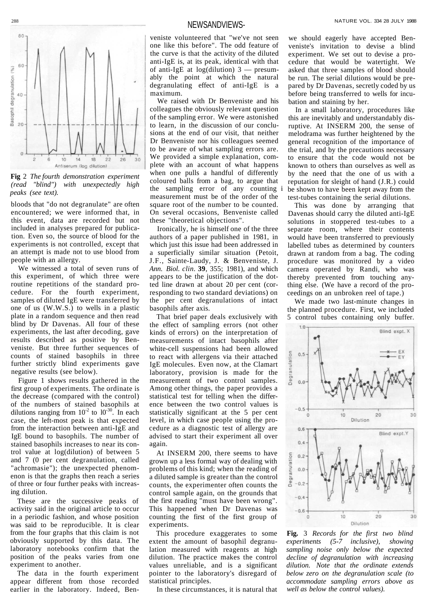288

#### NEWSANDVIEWS-



**Fig** 2 *The fourth demonstration experiment (read "blind") with unexpectedly high peaks (see text).*

bloods that "do not degranulate" are often encountered; we were informed that, in this event, data are recorded but not included in analyses prepared for publication. Even so, the source of blood for the experiments is not controlled, except that an attempt is made not to use blood from people with an allergy.

We witnessed a total of seven runs of this experiment, of which three were routine repetitions of the standard procedure. For the fourth experiment, samples of diluted IgE were transferred by one of us (W.W.S.) to wells in a plastic plate in a random sequence and then read blind by Dr Davenas. All four of these experiments, the last after decoding, gave results described as positive by Benveniste. But three further sequences of counts of stained basophils in three further strictly blind experiments gave negative results (see below).

Figure 1 shows results gathered in the first group of experiments. The ordinate is the decrease (compared with the control) of the numbers of stained basophils at dilutions ranging from  $10^{-2}$  to  $10^{-30}$ . In each case, the left-most peak is that expected from the interaction between anti-IgE and

IgE bound to basophils. The number of stained basophils increases to near its control value at log(dilution) of between 5 and 7 (0 per cent degranulation, called "achromasie"); the unexpected phenomenon is that the graphs then reach a series of three or four further peaks with increasing dilution.

These are the successive peaks of activity said in the original article to occur in a periodic fashion, and whose position was said to be reproducible. It is clear from the four graphs that this claim is not obviously supported by this data. The laboratory notebooks confirm that the position of the peaks varies from one experiment to another.

The data in the fourth experiment appear different from those recorded earlier in the laboratory. Indeed, Benveniste volunteered that "we've not seen one like this before". The odd feature of the curve is that the activity of the diluted anti-IgE is, at its peak, identical with that of anti-IgE at  $log(dilution)$  3 — presumably the point at which the natural degranulating effect of anti-IgE is a maximum.

We raised with Dr Benveniste and his colleagues the obviously relevant question of the sampling error. We were astonished to learn, in the discussion of our conclusions at the end of our visit, that neither Dr Benveniste nor his colleagues seemed to be aware of what sampling errors are. We provided a simple explanation, complete with an account of what happens when one pulls a handful of differently coloured balls from a bag, to argue that the sampling error of any counting i measurement must be of the order of the square root of the number to be counted. On several occasions, Benveniste called these "theoretical objections".

Ironically, he is himself one of the three authors of a paper published in 1981, in which just this issue had been addressed in a superficially similar situation (Petoit, J.F., Sainte-Laudy, J. & Benveniste, J. *Ann. Biol. clin.* **39**, 355; 1981), and which appears to be the justification of the dotted line drawn at about 20 per cent (corresponding to two standard deviations) on the per cent degranulations of intact basophils after axis.

That brief paper deals exclusively with the effect of sampling errors (not other kinds of errors) on the interpretation of measurements of intact basophils after white-cell suspensions had been allowed to react with allergens via their attached IgE molecules. Even now, at the Clamart laboratory, provision is made for the measurement of two control samples. Among other things, the paper provides a statistical test for telling when the difference between the two control values is statistically significant at the 5 per cent level, in which case people using the procedure as a diagnostic test of allergy are advised to start their experiment all over again. At INSERM 200, there seems to have grown up a less formal way of dealing with problems of this kind; when the reading of a diluted sample is greater than the control counts, the experimenter often counts the control sample again, on the grounds that the first reading "must have been wrong". This happened when Dr Davenas was counting the first of the first group of experiments. This procedure exaggerates to some extent the amount of basophil degranulation measured with reagents at high dilution. The practice makes the control values unreliable, and is a significant pointer to the laboratory's disregard of statistical principles.

In these circumstances, it is natural that

we should eagerly have accepted Benveniste's invitation to devise a blind experiment. We set out to devise a procedure that would be watertight. We asked that three samples of blood should be run. The serial dilutions would be prepared by Dr Davenas, secretly coded by us before being transferred to wells for incubation and staining by her.

In a small laboratory, procedures like this are inevitably and understandably disruptive. At INSERM 200, the sense of melodrama was further heightened by the general recognition of the importance of the trial, and by the precautions necessary to ensure that the code would not be known to others than ourselves as well as by the need that the one of us with a reputation for sleight of hand (J.R.) could be shown to have been kept away from the test-tubes containing the serial dilutions.

This was done by arranging that Davenas should carry the diluted anti-IgE solutions in stoppered test-tubes to a separate room, where their contents would have been transferred to previously labelled tubes as determined by counters drawn at random from a bag. The coding procedure was monitored by a video camera operated by Randi, who was thereby prevented from touching anything else. (We have a record of the proceedings on an unbroken reel of tape.)

We made two last-minute changes in the planned procedure. First, we included 5 control tubes containing only buffer.



**Fig.** 3 *Records for the first two blind experiments (5-7 inclusive), showing sampling noise only below the expected decline of degranulation with increasing dilution. Note that the ordinate extends below zero on the degranulation scale (to accommodate sampling errors above as well as below the control values).*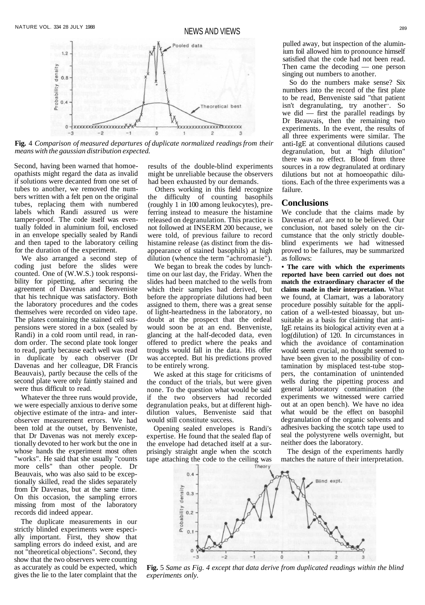NEWS AND VIEWS



**Fig.** 4 *Comparison of measured departures of duplicate normalized readings from their means with the gaussian distribution expected.*

Second, having been warned that homoeopathists might regard the data as invalid if solutions were decanted from one set of tubes to another, we removed the numbers written with a felt pen on the original tubes, replacing them with numbered labels which Randi assured us were tamper-proof. The code itself was eventually folded in aluminium foil, enclosed in an envelope specially sealed by Randi and then taped to the laboratory ceiling for the duration of the experiment.

We also arranged a second step of coding just before the slides were counted. One of (W.W.S.) took responsibility for pipetting, after securing the agreement of Davenas and Benveniste that his technique was satisfactory. Both the laboratory procedures and the codes themselves were recorded on video tape. The plates containing the stained cell suspensions were stored in a box (sealed by Randi) in a cold room until read, in random order. The second plate took longer to read, partly because each well was read in duplicate by each observer (Dr Davenas and her colleague, DR Francis Beauvais), partly because the cells of the second plate were only faintly stained and were thus difficult to read.

Whatever the three runs would provide, we were especially anxious to derive some objective estimate of the intra- and interobserver measurement errors. We had been told at the outset, by Benveniste, that Dr Davenas was not merely exceptionally devoted to her work but the one in whose hands the experiment most often "works". He said that she usually "counts more cells" than other people. Dr Beauvais, who was also said to be exceptionally skilled, read the slides separately from Dr Davenas, but at the same time. On this occasion, the sampling errors missing from most of the laboratory records did indeed appear.

The duplicate measurements in our strictly blinded experiments were especially important. First, they show that sampling errors do indeed exist, and are not "theoretical objections". Second, they show that the two observers were counting as accurately as could be expected, which gives the lie to the later complaint that the

pulled away, but inspection of the aluminium foil allowed him to pronounce himself satisfied that the code had not been read. Then came the decoding — one person singing out numbers to another.

So do the numbers make sense? Six numbers into the record of the first plate to be read, Benveniste said "that patient isn't degranulating, try another". So we did  $-$  first the parallel readings by Dr Beauvais, then the remaining two experiments. In the event, the results of all three experiments were similar. The anti-IgE at conventional dilutions caused degranulation, but at "high dilution" there was no effect. Blood from three sources in a row degranulated at ordinary dilutions but not at homoeopathic dilutions. Each of the three experiments was a failure.

#### **Conclusions**

We conclude that the claims made by Davenas *et al.* are not to be believed. Our conclusion, not based solely on the circumstance that the only strictly doubleblind experiments we had witnessed proved to be failures, may be summarized as follows:

**• The care with which the experiments reported have been carried out does not match the extraordinary character of the claims made in their interpretation.** What we found, at Clamart, was a laboratory procedure possibly suitable for the application of a well-tested bioassay, but unsuitable as a basis for claiming that anti-IgE retains its biological activity even at a log(dilution) of 120. In circumstances in which the avoidance of contamination would seem crucial, no thought seemed to have been given to the possibility of contamination by misplaced test-tube stoppers, the contamination of unintended wells during the pipetting process and general laboratory contamination (the experiments we witnessed were carried out at an open bench). We have no idea what would be the effect on basophil degranulation of the organic solvents and adhesives backing the scotch tape used to seal the polystyrene wells overnight, but neither does the laboratory.

The design of the experiments hardly matches the nature of their interpretation.



**Fig.** 5 *Same as Fig. 4 except that data derive from duplicated readings within the blind experiments only.*

results of the double-blind experiments might be unreliable because the observers had been exhausted by our demands.

Others working in this field recognize the difficulty of counting basophils (roughly 1 in 100 among leukocytes), preferring instead to measure the histamine released on degranulation. This practice is not followed at INSERM 200 because, we were told, of previous failure to record histamine release (as distinct from the disappearance of stained basophils) at high dilution (whence the term "achromasie").

We began to break the codes by lunchtime on our last day, the Friday. When the slides had been matched to the wells from which their samples had derived, but before the appropriate dilutions had been assigned to them, there was a great sense of light-heartedness in the laboratory, no doubt at the prospect that the ordeal would soon be at an end. Benveniste, glancing at the half-decoded data, even offered to predict where the peaks and troughs would fall in the data. His offer was accepted. But his predictions proved to be entirely wrong.

We asked at this stage for criticisms of the conduct of the trials, but were given none. To the question what would be said if the two observers had recorded degranulation peaks, but at different highdilution values, Benveniste said that

would still constitute success.

Opening sealed envelopes is Randi's expertise. He found that the sealed flap of the envelope had detached itself at a surprisingly straight angle when the scotch tape attaching the code to the ceiling was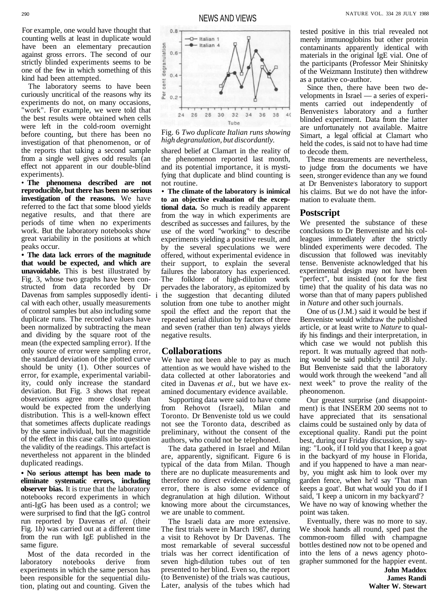The laboratory seems to have been curiously uncritical of the reasons why its experiments do not, on many occasions, "work". For example, we were told that the best results were obtained when cells were left in the cold-room overnight before counting, but there has been no investigation of that phenomenon, or of the reports that taking a second sample from a single well gives odd results (an effect not apparent in our double-blind experiments).

• **The phenomena described are not reproducible, but there has been no serious investigation of the reasons.** We have referred to the fact that some blood yields negative results, and that there are periods of time when no experiments work. But the laboratory notebooks show great variability in the positions at which peaks occur.

**• The data lack errors of the magnitude that would be expected, and which are unavoidable.** This is best illustrated by Fig. 3, whose two graphs have been constructed from data recorded by Dr Davenas from samples supposedly identical with each other, usually measurements of control samples but also including some duplicate runs. The recorded values have been normalized by subtracting the mean and dividing by the square root of the mean (the expected sampling error). If the only source of error were sampling error, the standard deviation of the plotted curve should be unity (1). Other sources of error, for example, experimental variability, could only increase the standard deviation. But Fig. 3 shows that repeat observations agree more closely than would be expected from the underlying distribution. This is a well-known effect that sometimes affects duplicate readings by the same individual, but the magnitide

of the effect in this case calls into question the validity of the readings. This artefact is nevertheless not apparent in the blinded duplicated readings.

**• No serious attempt has been made to eliminate systematic errors, including observer bias.** It is true that the laboratory notebooks record experiments in which anti-IgG has been used as a control; we were surprised to find that the IgG control run reported by Davenas *et al.* (their Fig. 1*b)* was carried out at a different time from the run with IgE published in the same figure.

Most of the data recorded in the laboratory notebooks derive from experiments in which the same person has been responsible for the sequential dilution, plating out and counting. Given the



Fig. 6 *Two duplicate Italian runs showing high degranulation, but discordantly.*

shared belief at Clamart in the reality of the phenomenon reported last month, and its potential importance, it is mystifying that duplicate and blind counting is not routine.

**• The climate of the laboratory is inimical to an objective evaluation of the exceptional data.** So much is readily apparent from the way in which experiments are described as successes and failures, by the use of the word ''working", to describe experiments yielding a positive result, and by the several speculations we were offered, without experimental evidence in their support, to explain the several failures the laboratory has experienced. The folklore of high-dilution work pervades the laboratory, as epitomized by i the suggestion that decanting diluted solution from one tube to another might spoil the effect and the report that the repeated serial dilution by factors of three and seven (rather than ten) always yields negative results.

### **Collaborations**

We have not been able to pay as much attention as we would have wished to the data collected at other laboratories and cited in Davenas *et al.,* but we have examined documentary evidence available.

Supporting data were said to have come from Rehovot (Israel), Milan and Toronto. Dr Benveniste told us we could not see the Toronto data, described as preliminary, without the consent of the authors, who could not be telephoned. The data gathered in Israel and Milan are, apparently, significant. Figure 6 is typical of the data from Milan. Though there are no duplicate measurements and therefore no direct evidence of sampling error, there is also some evidence of degranulation at high dilution. Without knowing more about the circumstances, we are unable to comment. The Israeli data are more extensive. The first trials were in March 1987, during a visit to Rehovot by Dr Davenas. The most remarkable of several successful trials was her correct identification of seven high-dilution tubes out of ten presented to her blind. Even so, the report (to Benveniste) of the trials was cautious, Later, analysis of the tubes which had

tested positive in this trial revealed not merely immunoglobins but other protein contaminants apparently identical with materials in the original IgE vial. One of the participants (Professor Meir Shinitsky of the Weizmann Institute) then withdrew as a putative co-author.

Since then, there have been two developments in Israel — a series of experiments carried out independently of Benveniste's laboratory and a further blinded experiment. Data from the latter are unfortunately not available. Maitre Simart, a legal official at Clamart who held the codes, is said not to have had time to decode them.

These measurements are nevertheless, to judge from the documents we have seen, stronger evidence than any we found at Dr Benveniste's laboratory to support his claims. But we do not have the information to evaluate them.

## **Postscript**

We presented the substance of these conclusions to Dr Benveniste and his colleagues immediately after the strictly blinded experiments were decoded. The discussion that followed was inevitably tense. Benveniste acknowledged that his experimental design may not have been "perfect", but insisted (not for the first time) that the quality of his data was no worse than that of many papers published in *Nature* and other such journals.

One of us (J.M.) said it would be best if Benveniste would withdraw the published article, or at least write to *Nature* to qualify his findings and their interpretation, in which case we would not publish this report. It was mutually agreed that nothing would be said publicly until 28 July. But Benveniste said that the laboratory would work through the weekend "and all next week" to prove the reality of the pheonomenon.

Our greatest surprise (and disappointment) is that INSERM 200 seems not to have appreciated that its sensational claims could be sustained only by data of exceptional quality. Randi put the point best, during our Friday discussion, by saying: "Look, if I told you that I keep a goat in the backyard of my house in Florida, and if you happened to have a man nearby, you might ask him to look over my garden fence, when he'd say 'That man keeps a goat'. But what would you do if I said, 'I keep a unicorn in my backyard'? We have no way of knowing whether the point was taken. Eventually, there was no more to say. We shook hands all round, sped past the common-room filled with champagne bottles destined now not to be opened and into the lens of a news agency photographer summoned for the happier event. **John Maddox**

> **James Randi Walter W. Stewart**